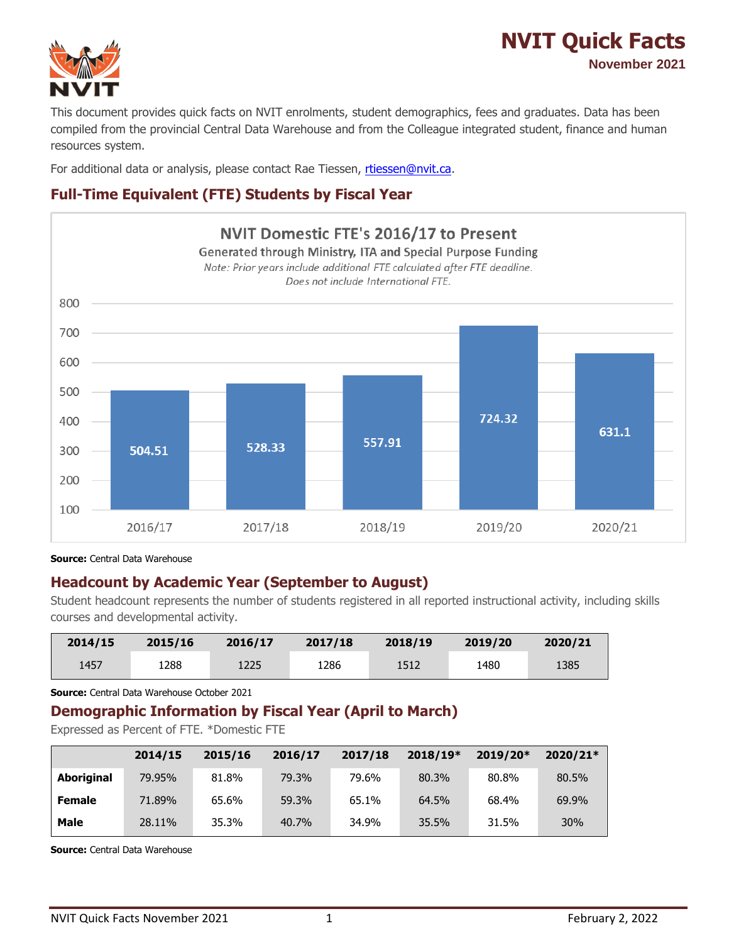

# **NVIT Quick Facts November 2021**

This document provides quick facts on NVIT enrolments, student demographics, fees and graduates. Data has been compiled from the provincial Central Data Warehouse and from the Colleague integrated student, finance and human resources system.

For additional data or analysis, please contact Rae Tiessen, [rtiessen@nvit.ca.](mailto:rtiessen@nvit.ca)

## **Full-Time Equivalent (FTE) Students by Fiscal Year**



**Source:** Central Data Warehouse

### **Headcount by Academic Year (September to August)**

Student headcount represents the number of students registered in all reported instructional activity, including skills courses and developmental activity.

| 2014/15 | 2015/16 | 2016/17 | 2017/18 | 2018/19 | 2019/20 | 2020/21 |
|---------|---------|---------|---------|---------|---------|---------|
| 1457    | 1288    | 1225    | 1286    | 1512    | 1480    | 1385    |

**Source:** Central Data Warehouse October 2021

#### **Demographic Information by Fiscal Year (April to March)**

Expressed as Percent of FTE. \*Domestic FTE

|               | 2014/15 | 2015/16 | 2016/17 | 2017/18 | $2018/19*$ | 2019/20* | $2020/21*$ |
|---------------|---------|---------|---------|---------|------------|----------|------------|
| Aboriginal    | 79.95%  | 81.8%   | 79.3%   | 79.6%   | 80.3%      | 80.8%    | 80.5%      |
| <b>Female</b> | 71.89%  | 65.6%   | 59.3%   | 65.1%   | 64.5%      | 68.4%    | 69.9%      |
| <b>Male</b>   | 28.11%  | 35.3%   | 40.7%   | 34.9%   | 35.5%      | 31.5%    | 30%        |

**Source:** Central Data Warehouse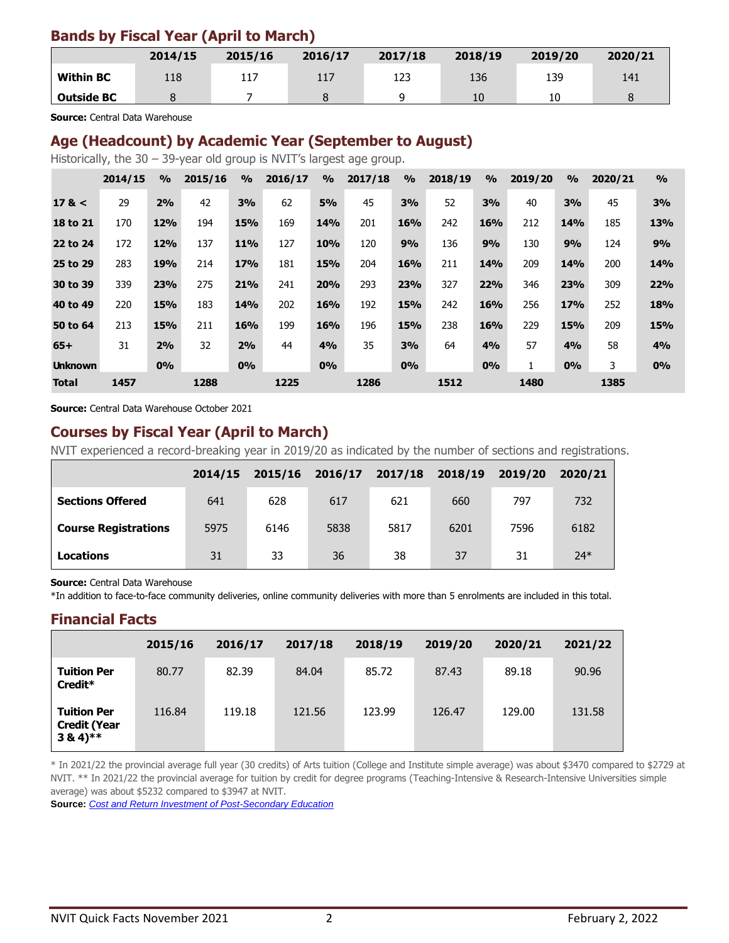### **Bands by Fiscal Year (April to March)**

|                   | 2014/15 | 2015/16 | 2016/17 | 2017/18 | 2018/19 | 2019/20 | 2020/21 |
|-------------------|---------|---------|---------|---------|---------|---------|---------|
| <b>Within BC</b>  | 118     | 117     | 117     | 123     | 136     | 139     | 141     |
| <b>Outside BC</b> |         |         |         |         | 10      | 10      |         |

**Source:** Central Data Warehouse

#### **Age (Headcount) by Academic Year (September to August)**

Historically, the 30 – 39-year old group is NVIT's largest age group.

|                | 2014/15 | $\frac{0}{0}$ | 2015/16 | $\frac{0}{0}$ | 2016/17 | $\frac{0}{0}$ | 2017/18 | $\frac{0}{0}$ | 2018/19 | $\frac{0}{0}$ | 2019/20 | $\frac{9}{6}$ | 2020/21 | $\frac{0}{0}$ |
|----------------|---------|---------------|---------|---------------|---------|---------------|---------|---------------|---------|---------------|---------|---------------|---------|---------------|
| 17 <           | 29      | 2%            | 42      | 3%            | 62      | <b>5%</b>     | 45      | 3%            | 52      | 3%            | 40      | 3%            | 45      | 3%            |
| 18 to 21       | 170     | <b>12%</b>    | 194     | <b>15%</b>    | 169     | <b>14%</b>    | 201     | 16%           | 242     | 16%           | 212     | <b>14%</b>    | 185     | 13%           |
| 22 to 24       | 172     | <b>12%</b>    | 137     | <b>11%</b>    | 127     | <b>10%</b>    | 120     | 9%            | 136     | 9%            | 130     | 9%            | 124     | 9%            |
| 25 to 29       | 283     | 19%           | 214     | <b>17%</b>    | 181     | <b>15%</b>    | 204     | 16%           | 211     | <b>14%</b>    | 209     | <b>14%</b>    | 200     | <b>14%</b>    |
| 30 to 39       | 339     | 23%           | 275     | 21%           | 241     | <b>20%</b>    | 293     | 23%           | 327     | 22%           | 346     | 23%           | 309     | 22%           |
| 40 to 49       | 220     | <b>15%</b>    | 183     | <b>14%</b>    | 202     | <b>16%</b>    | 192     | <b>15%</b>    | 242     | 16%           | 256     | <b>17%</b>    | 252     | <b>18%</b>    |
| 50 to 64       | 213     | <b>15%</b>    | 211     | 16%           | 199     | 16%           | 196     | <b>15%</b>    | 238     | 16%           | 229     | <b>15%</b>    | 209     | <b>15%</b>    |
| $65+$          | 31      | 2%            | 32      | 2%            | 44      | 4%            | 35      | 3%            | 64      | 4%            | 57      | 4%            | 58      | 4%            |
| <b>Unknown</b> |         | 0%            |         | 0%            |         | 0%            |         | 0%            |         | 0%            |         | 0%            | 3       | 0%            |
| <b>Total</b>   | 1457    |               | 1288    |               | 1225    |               | 1286    |               | 1512    |               | 1480    |               | 1385    |               |

**Source:** Central Data Warehouse October 2021

#### **Courses by Fiscal Year (April to March)**

NVIT experienced a record-breaking year in 2019/20 as indicated by the number of sections and registrations.

|                             | 2014/15 | 2015/16 | 2016/17 | 2017/18 | 2018/19 | 2019/20 | 2020/21 |
|-----------------------------|---------|---------|---------|---------|---------|---------|---------|
| <b>Sections Offered</b>     | 641     | 628     | 617     | 621     | 660     | 797     | 732     |
| <b>Course Registrations</b> | 5975    | 6146    | 5838    | 5817    | 6201    | 7596    | 6182    |
| Locations                   | 31      | 33      | 36      | 38      | 37      | 31      | $24*$   |

**Source:** Central Data Warehouse

\*In addition to face-to-face community deliveries, online community deliveries with more than 5 enrolments are included in this total.

#### **Financial Facts**

|                                                                      | 2015/16 | 2016/17 | 2017/18 | 2018/19 | 2019/20 | 2020/21 | 2021/22 |
|----------------------------------------------------------------------|---------|---------|---------|---------|---------|---------|---------|
| <b>Tuition Per</b><br>Credit*                                        | 80.77   | 82.39   | 84.04   | 85.72   | 87.43   | 89.18   | 90.96   |
| <b>Tuition Per</b><br><b>Credit (Year</b><br>$3\,8\,4$ <sup>**</sup> | 116.84  | 119.18  | 121.56  | 123.99  | 126.47  | 129.00  | 131.58  |

\* In 2021/22 the provincial average full year (30 credits) of Arts tuition (College and Institute simple average) was about \$3470 compared to \$2729 at NVIT. \*\* In 2021/22 the provincial average for tuition by credit for degree programs (Teaching-Intensive & Research-Intensive Universities simple average) was about \$5232 compared to \$3947 at NVIT.

**Source:** *[Cost and Return Investment of Post-Secondary Education](http://www2.gov.bc.ca/gov/content/education-training/post-secondary-education/data-research/cost-of-post-secondary-education)*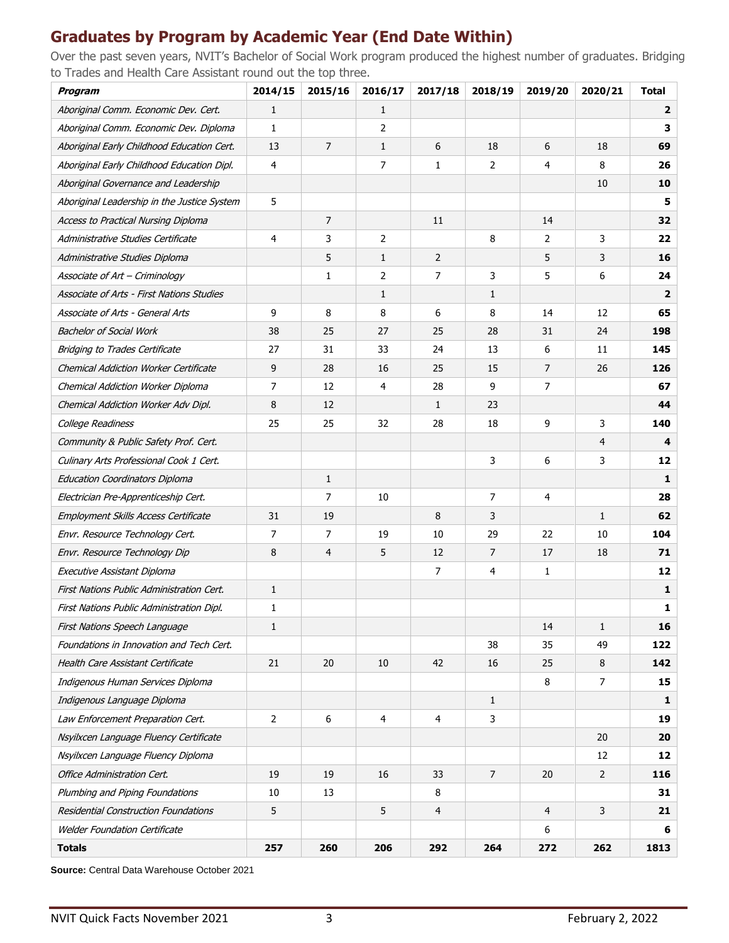## **Graduates by Program by Academic Year (End Date Within)**

Over the past seven years, NVIT's Bachelor of Social Work program produced the highest number of graduates. Bridging to Trades and Health Care Assistant round out the top three.

| <b>Program</b>                                   | 2014/15        | 2015/16        | 2016/17        | 2017/18        | 2018/19        | 2019/20        | 2020/21      | <b>Total</b>            |
|--------------------------------------------------|----------------|----------------|----------------|----------------|----------------|----------------|--------------|-------------------------|
| Aboriginal Comm. Economic Dev. Cert.             | 1              |                | 1              |                |                |                |              | $\overline{\mathbf{2}}$ |
| Aboriginal Comm. Economic Dev. Diploma           | 1              |                | 2              |                |                |                |              | 3                       |
| Aboriginal Early Childhood Education Cert.       | 13             | 7              | $\mathbf{1}$   | 6              | 18             | 6              | 18           | 69                      |
| Aboriginal Early Childhood Education Dipl.       | 4              |                | $\overline{7}$ | 1              | 2              | 4              | 8            | 26                      |
| Aboriginal Governance and Leadership             |                |                |                |                |                |                | 10           | 10                      |
| Aboriginal Leadership in the Justice System      | 5              |                |                |                |                |                |              | 5                       |
| <b>Access to Practical Nursing Diploma</b>       |                | $\overline{7}$ |                | 11             |                | 14             |              | 32                      |
| Administrative Studies Certificate               | 4              | 3              | 2              |                | 8              | 2              | 3            | 22                      |
| Administrative Studies Diploma                   |                | 5              | $\mathbf{1}$   | $\overline{2}$ |                | 5              | 3            | 16                      |
| Associate of Art - Criminology                   |                | 1              | 2              | 7              | 3              | 5              | 6            | 24                      |
| <b>Associate of Arts - First Nations Studies</b> |                |                | 1              |                | 1              |                |              | $\overline{2}$          |
| <b>Associate of Arts - General Arts</b>          | 9              | 8              | 8              | 6              | 8              | 14             | 12           | 65                      |
| <b>Bachelor of Social Work</b>                   | 38             | 25             | 27             | 25             | 28             | 31             | 24           | 198                     |
| <b>Bridging to Trades Certificate</b>            | 27             | 31             | 33             | 24             | 13             | 6              | 11           | 145                     |
| Chemical Addiction Worker Certificate            | 9              | 28             | 16             | 25             | 15             | $\overline{7}$ | 26           | 126                     |
| Chemical Addiction Worker Diploma                | 7              | 12             | 4              | 28             | 9              | 7              |              | 67                      |
| Chemical Addiction Worker Adv Dipl.              | 8              | 12             |                | $\mathbf{1}$   | 23             |                |              | 44                      |
| College Readiness                                | 25             | 25             | 32             | 28             | 18             | 9              | 3            | 140                     |
| Community & Public Safety Prof. Cert.            |                |                |                |                |                |                | 4            | 4                       |
| Culinary Arts Professional Cook 1 Cert.          |                |                |                |                | 3              | 6              | 3            | 12                      |
| <b>Education Coordinators Diploma</b>            |                | $\mathbf{1}$   |                |                |                |                |              | $\mathbf{1}$            |
| Electrician Pre-Apprenticeship Cert.             |                | $\overline{7}$ | 10             |                | $\overline{7}$ | 4              |              | 28                      |
| Employment Skills Access Certificate             | 31             | 19             |                | 8              | 3              |                | $\mathbf{1}$ | 62                      |
| Envr. Resource Technology Cert.                  | 7              | 7              | 19             | 10             | 29             | 22             | 10           | 104                     |
| Envr. Resource Technology Dip                    | 8              | 4              | 5              | 12             | 7              | 17             | 18           | 71                      |
| Executive Assistant Diploma                      |                |                |                | 7              | 4              | 1              |              | 12                      |
| First Nations Public Administration Cert.        | $\mathbf{1}$   |                |                |                |                |                |              | 1                       |
| First Nations Public Administration Dipl.        | 1              |                |                |                |                |                |              | $\mathbf{1}$            |
| First Nations Speech Language                    | 1              |                |                |                |                | 14             | $\mathbf{1}$ | 16                      |
| Foundations in Innovation and Tech Cert.         |                |                |                |                | 38             | 35             | 49           | 122                     |
| Health Care Assistant Certificate                | 21             | 20             | 10             | 42             | 16             | 25             | 8            | 142                     |
| Indigenous Human Services Diploma                |                |                |                |                |                | 8              | 7            | 15                      |
| Indigenous Language Diploma                      |                |                |                |                | $\mathbf{1}$   |                |              | $\mathbf{1}$            |
| Law Enforcement Preparation Cert.                | $\overline{2}$ | 6              | 4              | 4              | 3              |                |              | 19                      |
| Nsyilxcen Language Fluency Certificate           |                |                |                |                |                |                | 20           | 20                      |
| Nsyilxcen Language Fluency Diploma               |                |                |                |                |                |                | 12           | 12                      |
| Office Administration Cert.                      | 19             | 19             | 16             | 33             | 7              | 20             | 2            | 116                     |
| Plumbing and Piping Foundations                  | 10             | 13             |                | 8              |                |                |              | 31                      |
| Residential Construction Foundations             | 5              |                | 5              | 4              |                | 4              | 3            | 21                      |
| <b>Welder Foundation Certificate</b>             |                |                |                |                |                | 6              |              | 6                       |
| <b>Totals</b>                                    | 257            | 260            | 206            | 292            | 264            | 272            | 262          | 1813                    |

**Source:** Central Data Warehouse October 2021